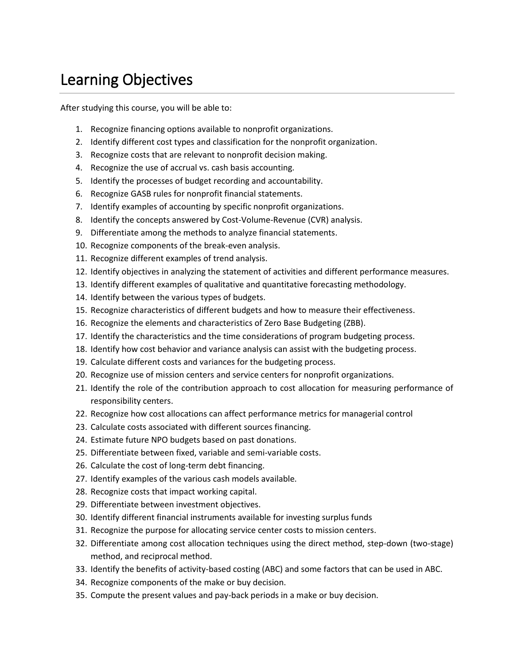## Learning Objectives

After studying this course, you will be able to:

- 1. Recognize financing options available to nonprofit organizations.
- 2. Identify different cost types and classification for the nonprofit organization.
- 3. Recognize costs that are relevant to nonprofit decision making.
- 4. Recognize the use of accrual vs. cash basis accounting.
- 5. Identify the processes of budget recording and accountability.
- 6. Recognize GASB rules for nonprofit financial statements.
- 7. Identify examples of accounting by specific nonprofit organizations.
- 8. Identify the concepts answered by Cost-Volume-Revenue (CVR) analysis.
- 9. Differentiate among the methods to analyze financial statements.
- 10. Recognize components of the break-even analysis.
- 11. Recognize different examples of trend analysis.
- 12. Identify objectives in analyzing the statement of activities and different performance measures.
- 13. Identify different examples of qualitative and quantitative forecasting methodology.
- 14. Identify between the various types of budgets.
- 15. Recognize characteristics of different budgets and how to measure their effectiveness.
- 16. Recognize the elements and characteristics of Zero Base Budgeting (ZBB).
- 17. Identify the characteristics and the time considerations of program budgeting process.
- 18. Identify how cost behavior and variance analysis can assist with the budgeting process.
- 19. Calculate different costs and variances for the budgeting process.
- 20. Recognize use of mission centers and service centers for nonprofit organizations.
- 21. Identify the role of the contribution approach to cost allocation for measuring performance of responsibility centers.
- 22. Recognize how cost allocations can affect performance metrics for managerial control
- 23. Calculate costs associated with different sources financing.
- 24. Estimate future NPO budgets based on past donations.
- 25. Differentiate between fixed, variable and semi-variable costs.
- 26. Calculate the cost of long-term debt financing.
- 27. Identify examples of the various cash models available.
- 28. Recognize costs that impact working capital.
- 29. Differentiate between investment objectives.
- 30. Identify different financial instruments available for investing surplus funds
- 31. Recognize the purpose for allocating service center costs to mission centers.
- 32. Differentiate among cost allocation techniques using the direct method, step-down (two-stage) method, and reciprocal method.
- 33. Identify the benefits of activity-based costing (ABC) and some factors that can be used in ABC.
- 34. Recognize components of the make or buy decision.
- 35. Compute the present values and pay-back periods in a make or buy decision.